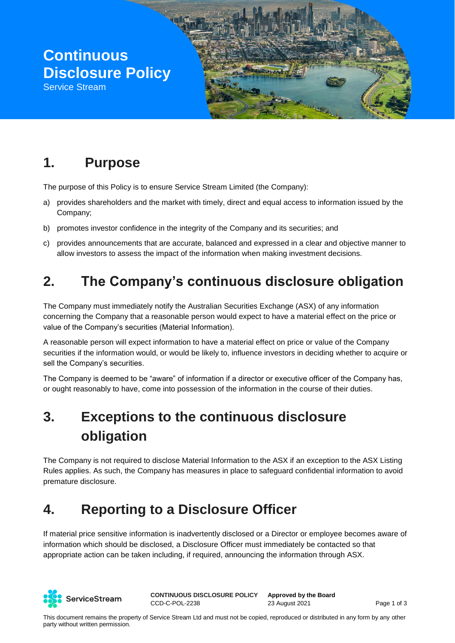# **Continuous Disclosure Policy**

Service Stream

### **1. Purpose**

The purpose of this Policy is to ensure Service Stream Limited (the Company):

- a) provides shareholders and the market with timely, direct and equal access to information issued by the Company;
- b) promotes investor confidence in the integrity of the Company and its securities; and
- c) provides announcements that are accurate, balanced and expressed in a clear and objective manner to allow investors to assess the impact of the information when making investment decisions.

# **2. The Company's continuous disclosure obligation**

The Company must immediately notify the Australian Securities Exchange (ASX) of any information concerning the Company that a reasonable person would expect to have a material effect on the price or value of the Company's securities (Material Information).

A reasonable person will expect information to have a material effect on price or value of the Company securities if the information would, or would be likely to, influence investors in deciding whether to acquire or sell the Company's securities.

The Company is deemed to be "aware" of information if a director or executive officer of the Company has, or ought reasonably to have, come into possession of the information in the course of their duties.

# **3. Exceptions to the continuous disclosure obligation**

The Company is not required to disclose Material Information to the ASX if an exception to the ASX Listing Rules applies. As such, the Company has measures in place to safeguard confidential information to avoid premature disclosure.

## **4. Reporting to a Disclosure Officer**

If material price sensitive information is inadvertently disclosed or a Director or employee becomes aware of information which should be disclosed, a Disclosure Officer must immediately be contacted so that appropriate action can be taken including, if required, announcing the information through ASX.



**CONTINUOUS DISCLOSURE POLICY** CCD-C-POL-2238

**Approved by the Board** 23 August 2021 Page 1 of 3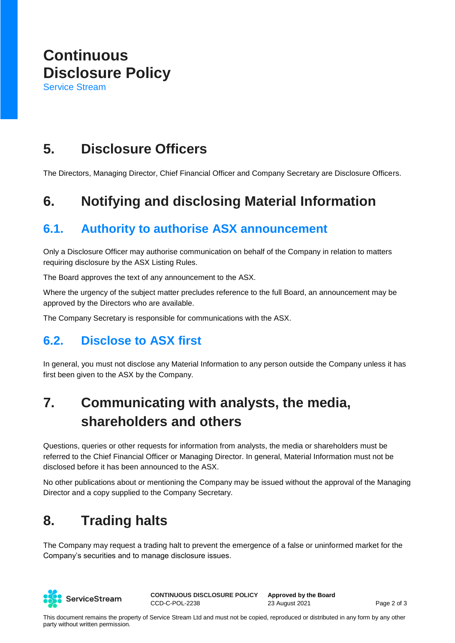# **Continuous Disclosure Policy**

Service Stream

### **5. Disclosure Officers**

The Directors, Managing Director, Chief Financial Officer and Company Secretary are Disclosure Officers.

### **6. Notifying and disclosing Material Information**

#### **6.1. Authority to authorise ASX announcement**

Only a Disclosure Officer may authorise communication on behalf of the Company in relation to matters requiring disclosure by the ASX Listing Rules.

The Board approves the text of any announcement to the ASX.

Where the urgency of the subject matter precludes reference to the full Board, an announcement may be approved by the Directors who are available.

The Company Secretary is responsible for communications with the ASX.

#### **6.2. Disclose to ASX first**

In general, you must not disclose any Material Information to any person outside the Company unless it has first been given to the ASX by the Company.

# **7. Communicating with analysts, the media, shareholders and others**

Questions, queries or other requests for information from analysts, the media or shareholders must be referred to the Chief Financial Officer or Managing Director. In general, Material Information must not be disclosed before it has been announced to the ASX.

No other publications about or mentioning the Company may be issued without the approval of the Managing Director and a copy supplied to the Company Secretary.

## **8. Trading halts**

The Company may request a trading halt to prevent the emergence of a false or uninformed market for the Company's securities and to manage disclosure issues.



**CONTINUOUS DISCLOSURE POLICY** CCD-C-POL-2238

**Approved by the Board** 23 August 2021 Page 2 of 3